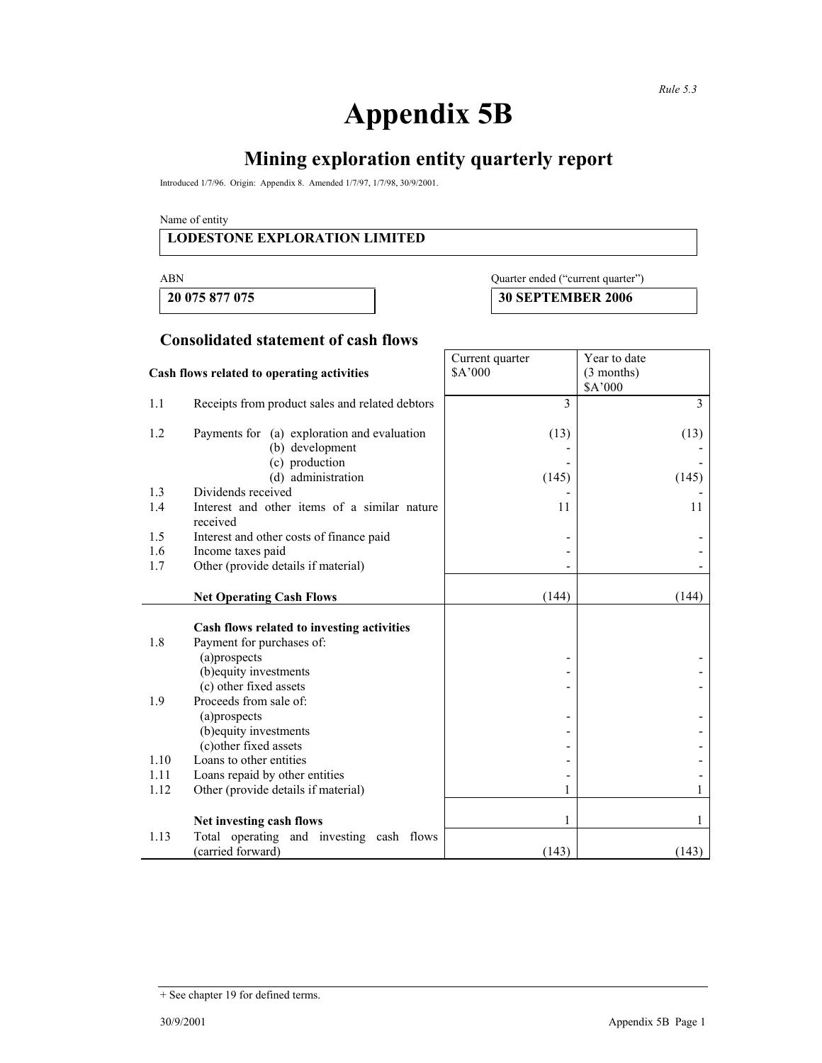# **Appendix 5B**

# **Mining exploration entity quarterly report**

Introduced 1/7/96. Origin: Appendix 8. Amended 1/7/97, 1/7/98, 30/9/2001.

Name of entity

#### **LODESTONE EXPLORATION LIMITED**

**20 075 877 075 30 SEPTEMBER 2006** 

### ABN Quarter ended ("current quarter")

**Consolidated statement of cash flows**

|                                            |                                                                | Current quarter | Year to date   |
|--------------------------------------------|----------------------------------------------------------------|-----------------|----------------|
| Cash flows related to operating activities |                                                                | \$A'000         | $(3$ months)   |
|                                            |                                                                |                 | \$A'000        |
| 1.1                                        | Receipts from product sales and related debtors                | 3               | $\overline{3}$ |
| 1.2                                        | Payments for (a) exploration and evaluation<br>(b) development | (13)            | (13)           |
|                                            | (c) production                                                 |                 |                |
|                                            | (d) administration                                             | (145)           | (145)          |
| 1.3                                        | Dividends received                                             |                 |                |
| 1.4                                        | Interest and other items of a similar nature                   | 11              | 11             |
|                                            | received                                                       |                 |                |
| 1.5                                        | Interest and other costs of finance paid                       |                 |                |
| 1.6                                        | Income taxes paid                                              |                 |                |
| 1.7                                        | Other (provide details if material)                            |                 |                |
|                                            |                                                                |                 |                |
|                                            | <b>Net Operating Cash Flows</b>                                | (144)           | (144)          |
|                                            |                                                                |                 |                |
|                                            | Cash flows related to investing activities                     |                 |                |
| 1.8                                        | Payment for purchases of:                                      |                 |                |
|                                            | (a)prospects                                                   |                 |                |
|                                            | (b) equity investments                                         |                 |                |
|                                            | (c) other fixed assets                                         |                 |                |
| 1.9                                        | Proceeds from sale of:                                         |                 |                |
|                                            | (a)prospects                                                   |                 |                |
|                                            | (b) equity investments                                         |                 |                |
|                                            | (c)other fixed assets                                          |                 |                |
| 1.10                                       | Loans to other entities                                        |                 |                |
| 1.11                                       | Loans repaid by other entities                                 |                 |                |
| 1.12                                       | Other (provide details if material)                            | 1               |                |
|                                            | Net investing cash flows                                       | 1               |                |
| 1.13                                       | Total operating and investing cash flows                       |                 |                |
|                                            | (carried forward)                                              | (143)           | (143)          |

<sup>+</sup> See chapter 19 for defined terms.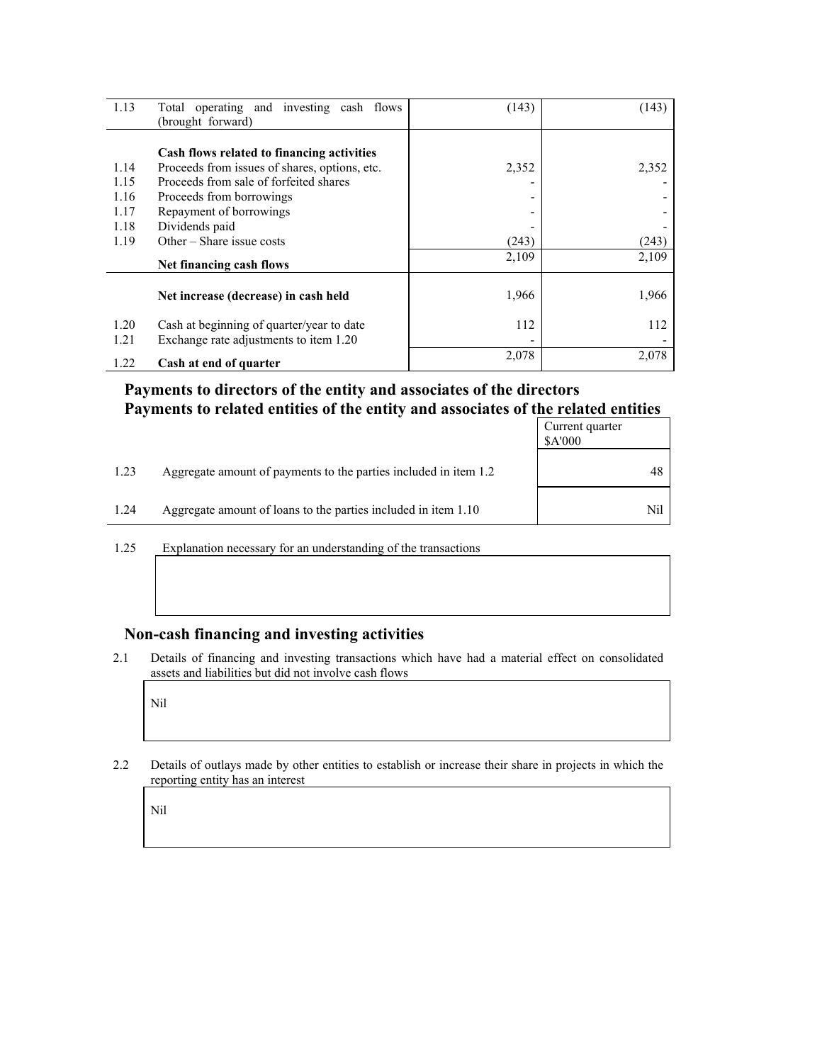| 1.13 | Total operating and investing cash flows<br>(brought forward) | (143) | (143) |
|------|---------------------------------------------------------------|-------|-------|
|      | Cash flows related to financing activities                    |       |       |
| 1.14 | Proceeds from issues of shares, options, etc.                 | 2,352 | 2,352 |
| 1.15 | Proceeds from sale of forfeited shares                        |       |       |
| 1.16 | Proceeds from borrowings                                      |       |       |
| 1.17 | Repayment of borrowings                                       |       |       |
| 1.18 | Dividends paid                                                |       |       |
| 1.19 | Other $-$ Share issue costs                                   | (243) | (243) |
|      | Net financing cash flows                                      | 2,109 | 2,109 |
|      | Net increase (decrease) in cash held                          | 1,966 | 1,966 |
| 1.20 | Cash at beginning of quarter/year to date                     | 112   | 112   |
| 1.21 | Exchange rate adjustments to item 1.20                        |       |       |
| 1.22 | Cash at end of quarter                                        | 2,078 | 2,078 |

#### **Payments to directors of the entity and associates of the directors Payments to related entities of the entity and associates of the related entities**

|      |                                                                  | Current quarter<br>\$A'000 |
|------|------------------------------------------------------------------|----------------------------|
| 1.23 | Aggregate amount of payments to the parties included in item 1.2 | 48                         |
| 1.24 | Aggregate amount of loans to the parties included in item 1.10   | Nil                        |

1.25 Explanation necessary for an understanding of the transactions

#### **Non-cash financing and investing activities**

2.1 Details of financing and investing transactions which have had a material effect on consolidated assets and liabilities but did not involve cash flows

Nil

2.2 Details of outlays made by other entities to establish or increase their share in projects in which the reporting entity has an interest

Nil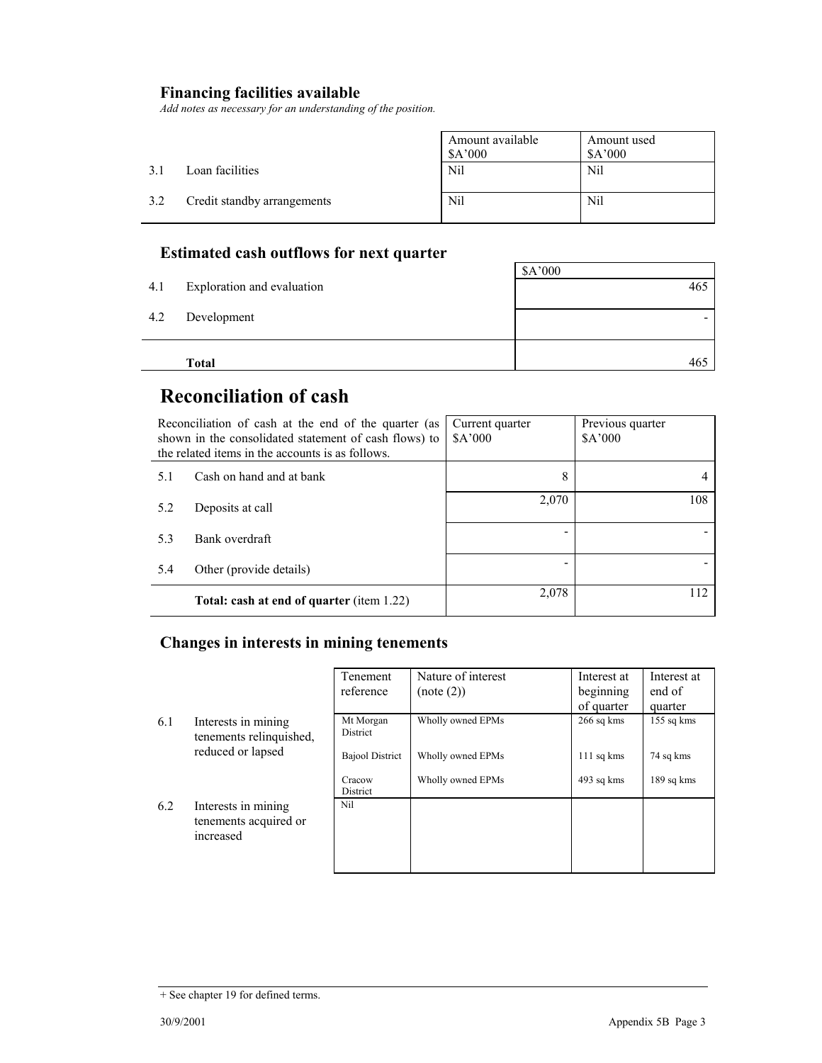## **Financing facilities available**

*Add notes as necessary for an understanding of the position.* 

|     |                             | Amount available<br>\$A'000 | Amount used<br>\$A'000 |
|-----|-----------------------------|-----------------------------|------------------------|
| 31  | Loan facilities             | <b>Nil</b>                  | Nil                    |
| 3.2 | Credit standby arrangements | Nil                         | Nil                    |

## **Estimated cash outflows for next quarter**

|     | <b>Total</b>               | 465     |
|-----|----------------------------|---------|
|     |                            |         |
| 4.2 | Development                |         |
| 4.1 | Exploration and evaluation | 465     |
|     |                            | \$A'000 |

## **Reconciliation of cash**

| Reconciliation of cash at the end of the quarter (as<br>shown in the consolidated statement of cash flows) to<br>the related items in the accounts is as follows. |                                                  | Current quarter<br>A'000 | Previous quarter<br>\$A'000 |
|-------------------------------------------------------------------------------------------------------------------------------------------------------------------|--------------------------------------------------|--------------------------|-----------------------------|
| 5.1                                                                                                                                                               | Cash on hand and at bank                         | 8                        |                             |
| 5.2                                                                                                                                                               | Deposits at call                                 | 2,070                    | 108                         |
| 5.3                                                                                                                                                               | Bank overdraft                                   |                          |                             |
| 5.4                                                                                                                                                               | Other (provide details)                          |                          |                             |
|                                                                                                                                                                   | <b>Total: cash at end of quarter (item 1.22)</b> | 2,078                    | 112                         |

#### **Changes in interests in mining tenements**

|     |                                                           | Tenement               | Nature of interest | Interest at  | Interest at  |
|-----|-----------------------------------------------------------|------------------------|--------------------|--------------|--------------|
|     |                                                           | reference              | (note (2))         | beginning    | end of       |
|     |                                                           |                        |                    | of quarter   | quarter      |
| 6.1 | Interests in mining<br>tenements relinquished,            | Mt Morgan<br>District  | Wholly owned EPMs  | $266$ sq kms | $155$ sq kms |
|     | reduced or lapsed                                         | <b>Bajool District</b> | Wholly owned EPMs  | $111$ sq kms | 74 sq kms    |
|     |                                                           | Cracow<br>District     | Wholly owned EPMs  | 493 sq kms   | 189 sq kms   |
| 6.2 | Interests in mining<br>tenements acquired or<br>increased | Nil                    |                    |              |              |

<sup>+</sup> See chapter 19 for defined terms.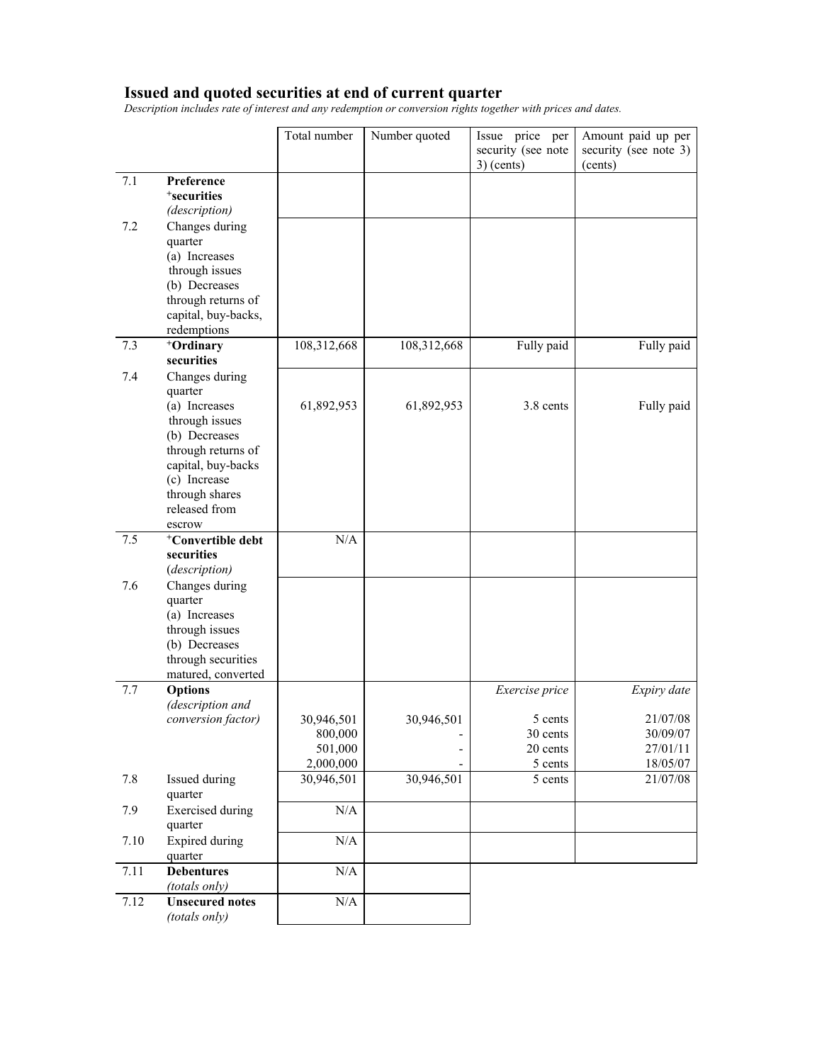#### **Issued and quoted securities at end of current quarter**

*Description includes rate of interest and any redemption or conversion rights together with prices and dates.* 

|      |                                                                                                                                                                                        | Total number                                  | Number quoted                                   | Issue price per<br>security (see note<br>$3)$ (cents) | Amount paid up per<br>security (see note 3)<br>(cents) |
|------|----------------------------------------------------------------------------------------------------------------------------------------------------------------------------------------|-----------------------------------------------|-------------------------------------------------|-------------------------------------------------------|--------------------------------------------------------|
| 7.1  | Preference<br><sup>+</sup> securities<br>(description)                                                                                                                                 |                                               |                                                 |                                                       |                                                        |
| 7.2  | Changes during<br>quarter<br>(a) Increases<br>through issues<br>(b) Decreases<br>through returns of<br>capital, buy-backs,<br>redemptions                                              |                                               |                                                 |                                                       |                                                        |
| 7.3  | +Ordinary<br>securities                                                                                                                                                                | 108,312,668                                   | 108,312,668                                     | Fully paid                                            | Fully paid                                             |
| 7.4  | Changes during<br>quarter<br>(a) Increases<br>through issues<br>(b) Decreases<br>through returns of<br>capital, buy-backs<br>(c) Increase<br>through shares<br>released from<br>escrow | 61,892,953                                    | 61,892,953                                      | 3.8 cents                                             | Fully paid                                             |
| 7.5  | <sup>+</sup> Convertible debt<br>securities<br>(description)                                                                                                                           | N/A                                           |                                                 |                                                       |                                                        |
| 7.6  | Changes during<br>quarter<br>(a) Increases<br>through issues<br>(b) Decreases<br>through securities<br>matured, converted                                                              |                                               |                                                 |                                                       |                                                        |
| 7.7  | <b>Options</b><br>(description and                                                                                                                                                     |                                               |                                                 | Exercise price                                        | Expiry date                                            |
|      | conversion factor)                                                                                                                                                                     | 30,946,501<br>800,000<br>501,000<br>2,000,000 | 30,946,501<br>-<br>$\qquad \qquad \blacksquare$ | 5 cents<br>30 cents<br>20 cents<br>5 cents            | 21/07/08<br>30/09/07<br>27/01/11<br>18/05/07           |
| 7.8  | Issued during<br>quarter                                                                                                                                                               | 30,946,501                                    | 30,946,501                                      | 5 cents                                               | 21/07/08                                               |
| 7.9  | <b>Exercised</b> during<br>quarter                                                                                                                                                     | N/A                                           |                                                 |                                                       |                                                        |
| 7.10 | <b>Expired during</b><br>quarter                                                                                                                                                       | $\rm N/A$                                     |                                                 |                                                       |                                                        |
| 7.11 | <b>Debentures</b><br>(totals only)                                                                                                                                                     | N/A                                           |                                                 |                                                       |                                                        |
| 7.12 | <b>Unsecured notes</b><br>(totals only)                                                                                                                                                | $\rm N/A$                                     |                                                 |                                                       |                                                        |